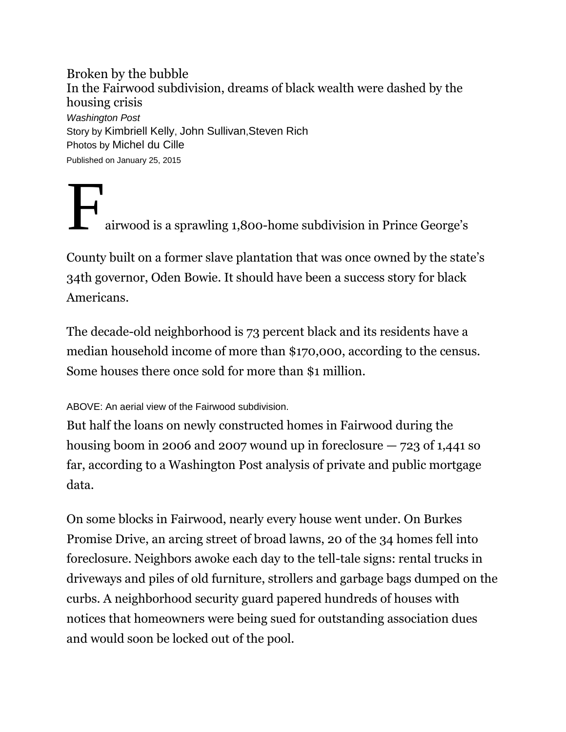Broken by the bubble In the Fairwood subdivision, dreams of black wealth were dashed by the housing crisis *Washington Post* Story by [Kimbriell Kelly](http://www.washingtonpost.com/people/kimbriell-kelly), [John Sullivan](http://www.washingtonpost.com/people/john-sullivan),[Steven Rich](http://www.washingtonpost.com/people/steven-rich) Photos by Michel du Cille Published on January 25, 2015

airwood is a sprawling 1,800-home subdivision in Prince George's

County built on a former slave plantation that was once owned by the state's 34th governor, Oden Bowie. It should have been a success story for black Americans.

The decade-old neighborhood is 73 percent black and its residents have a median household income of more than \$170,000, according to the census. Some houses there once sold for more than \$1 million.

## ABOVE: An aerial view of the Fairwood subdivision.

But half the loans on newly constructed homes in Fairwood during the housing boom in 2006 and 2007 wound up in foreclosure  $-723$  of 1,441 so far, according to a Washington Post analysis of private and public mortgage data.

On some blocks in Fairwood, nearly every house went under. On Burkes Promise Drive, an arcing street of broad lawns, 20 of the 34 homes fell into foreclosure. Neighbors awoke each day to the tell-tale signs: rental trucks in driveways and piles of old furniture, strollers and garbage bags dumped on the curbs. A neighborhood security guard papered hundreds of houses with notices that homeowners were being sued for outstanding association dues and would soon be locked out of the pool.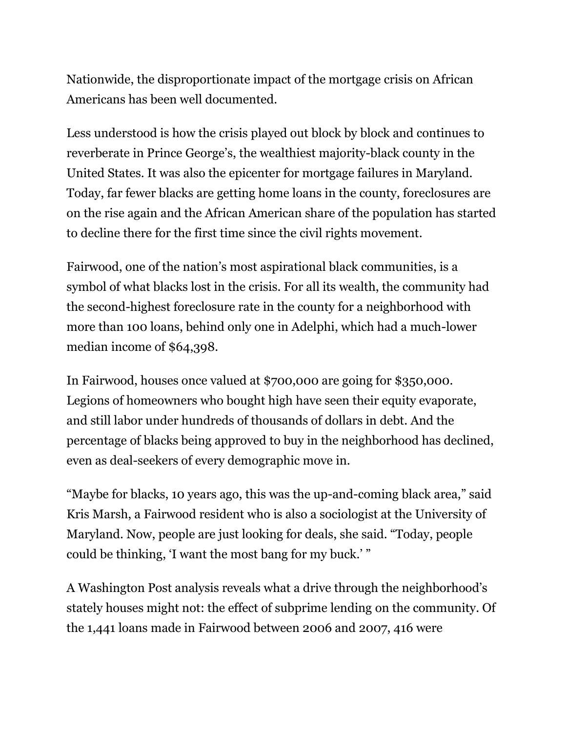Nationwide, the disproportionate impact of the mortgage crisis on African Americans has been well documented.

Less understood is how the crisis played out block by block and continues to reverberate in Prince George's, the wealthiest majority-black county in the United States. It was also the epicenter for mortgage failures in Maryland. Today, far fewer blacks are getting home loans in the county, foreclosures are on the rise again and the African American share of the population has started to decline there for the first time since the civil rights movement.

Fairwood, one of the nation's most aspirational black communities, is a symbol of what blacks lost in the crisis. For all its wealth, the community had the second-highest foreclosure rate in the county for a neighborhood with more than 100 loans, behind only one in Adelphi, which had a much-lower median income of \$64,398.

In Fairwood, houses once valued at \$700,000 are going for \$350,000. Legions of homeowners who bought high have seen their equity evaporate, and still labor under hundreds of thousands of dollars in debt. And the percentage of blacks being approved to buy in the neighborhood has declined, even as deal-seekers of every demographic move in.

"Maybe for blacks, 10 years ago, this was the up-and-coming black area," said Kris Marsh, a Fairwood resident who is also a sociologist at the University of Maryland. Now, people are just looking for deals, she said. "Today, people could be thinking, 'I want the most bang for my buck.' "

A Washington Post analysis reveals what a drive through the neighborhood's stately houses might not: the effect of subprime lending on the community. Of the 1,441 loans made in Fairwood between 2006 and 2007, 416 were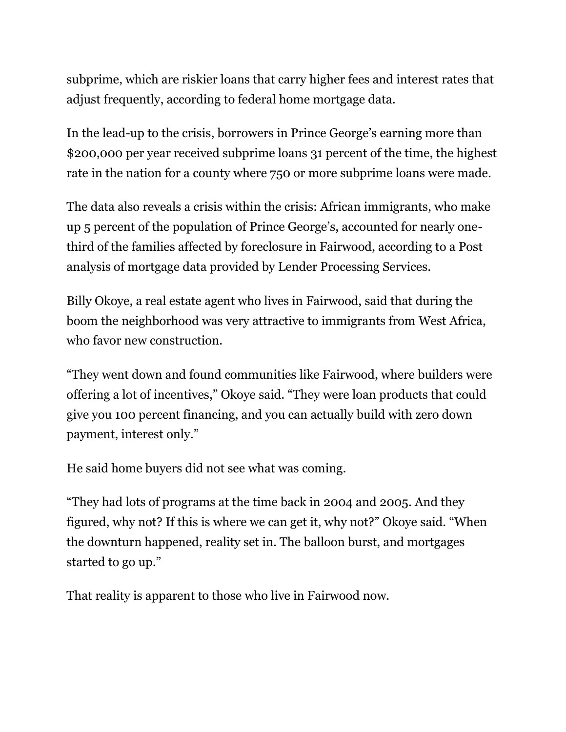subprime, which are riskier loans that carry higher fees and interest rates that adjust frequently, according to federal home mortgage data.

In the lead-up to the crisis, borrowers in Prince George's earning more than \$200,000 per year received subprime loans 31 percent of the time, the highest rate in the nation for a county where 750 or more subprime loans were made.

The data also reveals a crisis within the crisis: African immigrants, who make up 5 percent of the population of Prince George's, accounted for nearly onethird of the families affected by foreclosure in Fairwood, according to a Post analysis of mortgage data provided by Lender Processing Services.

Billy Okoye, a real estate agent who lives in Fairwood, said that during the boom the neighborhood was very attractive to immigrants from West Africa, who favor new construction.

"They went down and found communities like Fairwood, where builders were offering a lot of incentives," Okoye said. "They were loan products that could give you 100 percent financing, and you can actually build with zero down payment, interest only."

He said home buyers did not see what was coming.

"They had lots of programs at the time back in 2004 and 2005. And they figured, why not? If this is where we can get it, why not?" Okoye said. "When the downturn happened, reality set in. The balloon burst, and mortgages started to go up."

That reality is apparent to those who live in Fairwood now.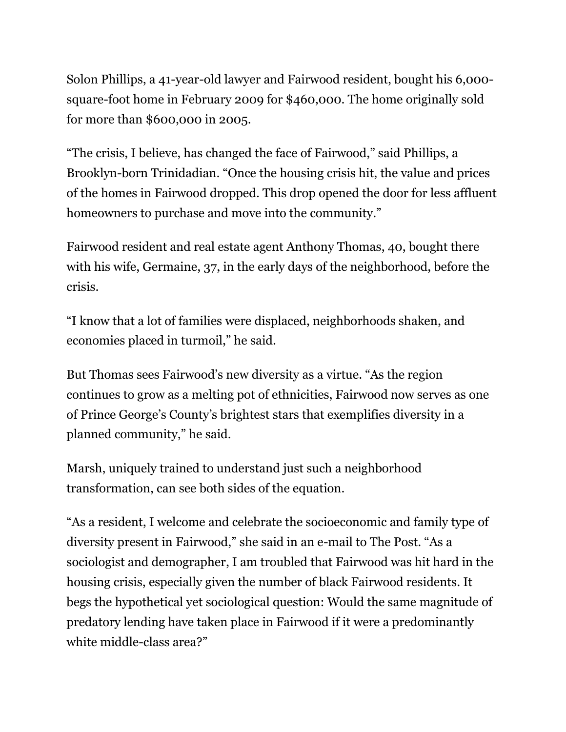Solon Phillips, a 41-year-old lawyer and Fairwood resident, bought his 6,000 square-foot home in February 2009 for \$460,000. The home originally sold for more than \$600,000 in 2005.

"The crisis, I believe, has changed the face of Fairwood," said Phillips, a Brooklyn-born Trinidadian. "Once the housing crisis hit, the value and prices of the homes in Fairwood dropped. This drop opened the door for less affluent homeowners to purchase and move into the community."

Fairwood resident and real estate agent Anthony Thomas, 40, bought there with his wife, Germaine, 37, in the early days of the neighborhood, before the crisis.

"I know that a lot of families were displaced, neighborhoods shaken, and economies placed in turmoil," he said.

But Thomas sees Fairwood's new diversity as a virtue. "As the region continues to grow as a melting pot of ethnicities, Fairwood now serves as one of Prince George's County's brightest stars that exemplifies diversity in a planned community," he said.

Marsh, uniquely trained to understand just such a neighborhood transformation, can see both sides of the equation.

"As a resident, I welcome and celebrate the socioeconomic and family type of diversity present in Fairwood," she said in an e-mail to The Post. "As a sociologist and demographer, I am troubled that Fairwood was hit hard in the housing crisis, especially given the number of black Fairwood residents. It begs the hypothetical yet sociological question: Would the same magnitude of predatory lending have taken place in Fairwood if it were a predominantly white middle-class area?"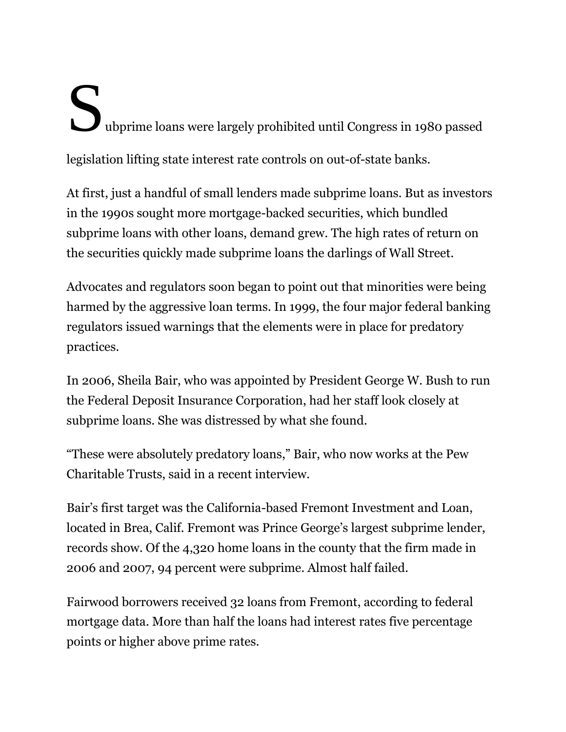## Subprime loans were largely prohibited until Congress in 1980 passed legislation lifting state interest rate controls on out-of-state banks.

At first, just a handful of small lenders made subprime loans. But as investors in the 1990s sought more mortgage-backed securities, which bundled subprime loans with other loans, demand grew. The high rates of return on the securities quickly made subprime loans the darlings of Wall Street.

Advocates and regulators soon began to point out that minorities were being harmed by the aggressive loan terms. In 1999, the four major federal banking regulators issued warnings that the elements were in place for predatory practices.

In 2006, Sheila Bair, who was appointed by President George W. Bush to run the Federal Deposit Insurance Corporation, had her staff look closely at subprime loans. She was distressed by what she found.

"These were absolutely predatory loans," Bair, who now works at the Pew Charitable Trusts, said in a recent interview.

Bair's first target was the California-based Fremont Investment and Loan, located in Brea, Calif. Fremont was Prince George's largest subprime lender, records show. Of the 4,320 home loans in the county that the firm made in 2006 and 2007, 94 percent were subprime. Almost half failed.

Fairwood borrowers received 32 loans from Fremont, according to federal mortgage data. More than half the loans had interest rates five percentage points or higher above prime rates.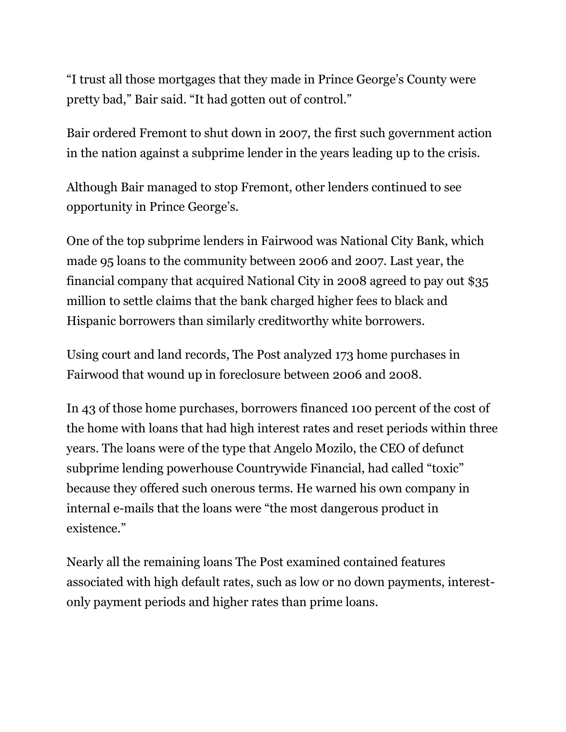"I trust all those mortgages that they made in Prince George's County were pretty bad," Bair said. "It had gotten out of control."

Bair ordered Fremont to shut down in 2007, the first such government action in the nation against a subprime lender in the years leading up to the crisis.

Although Bair managed to stop Fremont, other lenders continued to see opportunity in Prince George's.

One of the top subprime lenders in Fairwood was National City Bank, which made 95 loans to the community between 2006 and 2007. Last year, the financial company that acquired National City in 2008 agreed to pay out \$35 million to settle claims that the bank charged higher fees to black and Hispanic borrowers than similarly creditworthy white borrowers.

Using court and land records, The Post analyzed 173 home purchases in Fairwood that wound up in foreclosure between 2006 and 2008.

In 43 of those home purchases, borrowers financed 100 percent of the cost of the home with loans that had high interest rates and reset periods within three years. The loans were of the type that Angelo Mozilo, the CEO of defunct subprime lending powerhouse Countrywide Financial, had called "toxic" because they offered such onerous terms. He warned his own company in internal e-mails that the loans were "the most dangerous product in existence."

Nearly all the remaining loans The Post examined contained features associated with high default rates, such as low or no down payments, interestonly payment periods and higher rates than prime loans.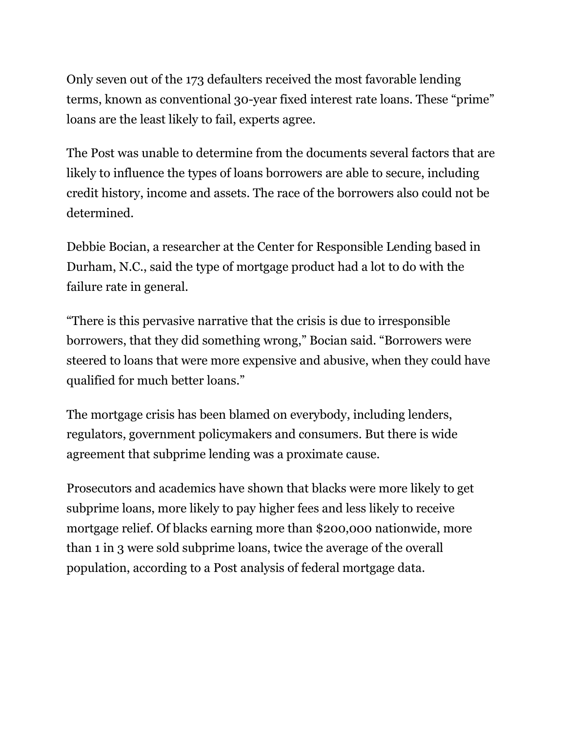Only seven out of the 173 defaulters received the most favorable lending terms, known as conventional 30-year fixed interest rate loans. These "prime" loans are the least likely to fail, experts agree.

The Post was unable to determine from the documents several factors that are likely to influence the types of loans borrowers are able to secure, including credit history, income and assets. The race of the borrowers also could not be determined.

Debbie Bocian, a researcher at the Center for Responsible Lending based in Durham, N.C., said the type of mortgage product had a lot to do with the failure rate in general.

"There is this pervasive narrative that the crisis is due to irresponsible borrowers, that they did something wrong," Bocian said. "Borrowers were steered to loans that were more expensive and abusive, when they could have qualified for much better loans."

The mortgage crisis has been blamed on everybody, including lenders, regulators, government policymakers and consumers. But there is wide agreement that subprime lending was a proximate cause.

Prosecutors and academics have shown that blacks were more likely to get subprime loans, more likely to pay higher fees and less likely to receive mortgage relief. Of blacks earning more than \$200,000 nationwide, more than 1 in 3 were sold subprime loans, twice the average of the overall population, according to a Post analysis of federal mortgage data.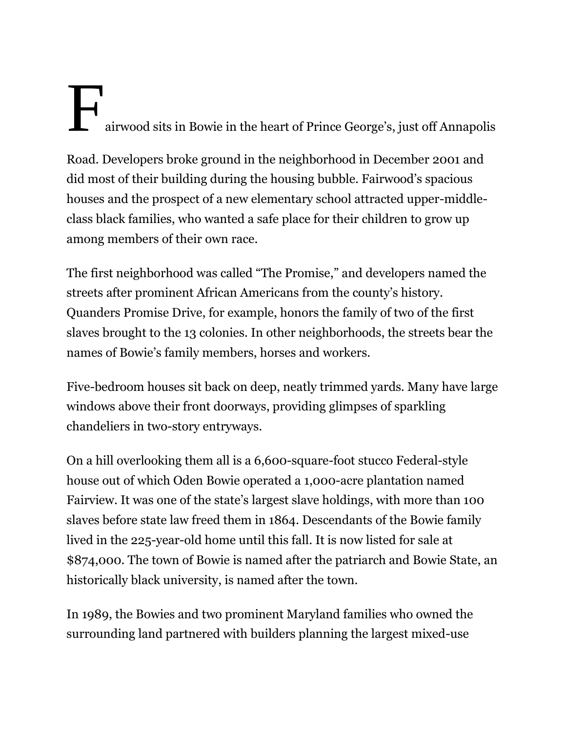## Fairwood sits in Bowie in the heart of Prince George's, just off Annapolis

Road. Developers broke ground in the neighborhood in December 2001 and did most of their building during the housing bubble. Fairwood's spacious houses and the prospect of a new elementary school attracted upper-middleclass black families, who wanted a safe place for their children to grow up among members of their own race.

The first neighborhood was called "The Promise," and developers named the streets after prominent African Americans from the county's history. Quanders Promise Drive, for example, honors the family of two of the first slaves brought to the 13 colonies. In other neighborhoods, the streets bear the names of Bowie's family members, horses and workers.

Five-bedroom houses sit back on deep, neatly trimmed yards. Many have large windows above their front doorways, providing glimpses of sparkling chandeliers in two-story entryways.

On a hill overlooking them all is a 6,600-square-foot stucco Federal-style house out of which Oden Bowie operated a 1,000-acre plantation named Fairview. It was one of the state's largest slave holdings, with more than 100 slaves before state law freed them in 1864. Descendants of the Bowie family lived in the 225-year-old home until this fall. It is now listed for sale at \$874,000. The town of Bowie is named after the patriarch and Bowie State, an historically black university, is named after the town.

In 1989, the Bowies and two prominent Maryland families who owned the surrounding land partnered with builders planning the largest mixed-use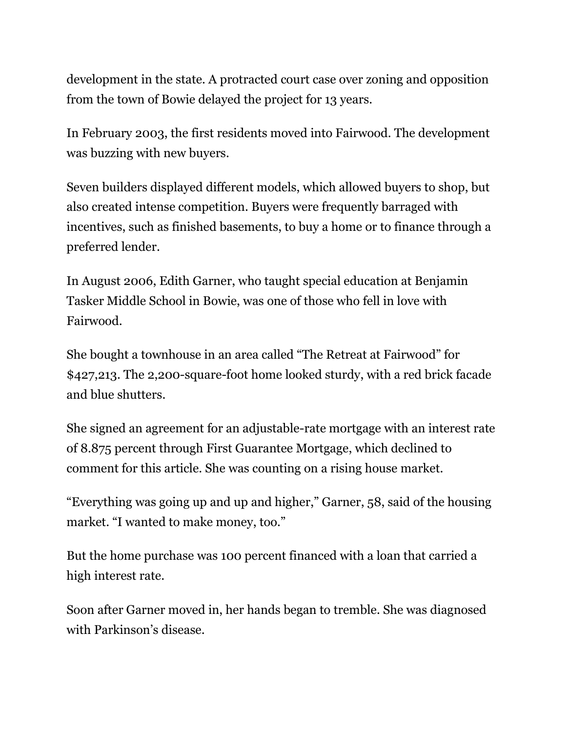development in the state. A protracted court case over zoning and opposition from the town of Bowie delayed the project for 13 years.

In February 2003, the first residents moved into Fairwood. The development was buzzing with new buyers.

Seven builders displayed different models, which allowed buyers to shop, but also created intense competition. Buyers were frequently barraged with incentives, such as finished basements, to buy a home or to finance through a preferred lender.

In August 2006, Edith Garner, who taught special education at Benjamin Tasker Middle School in Bowie, was one of those who fell in love with Fairwood.

She bought a townhouse in an area called "The Retreat at Fairwood" for \$427,213. The 2,200-square-foot home looked sturdy, with a red brick facade and blue shutters.

She signed an agreement for an adjustable-rate mortgage with an interest rate of 8.875 percent through First Guarantee Mortgage, which declined to comment for this article. She was counting on a rising house market.

"Everything was going up and up and higher," Garner, 58, said of the housing market. "I wanted to make money, too."

But the home purchase was 100 percent financed with a loan that carried a high interest rate.

Soon after Garner moved in, her hands began to tremble. She was diagnosed with Parkinson's disease.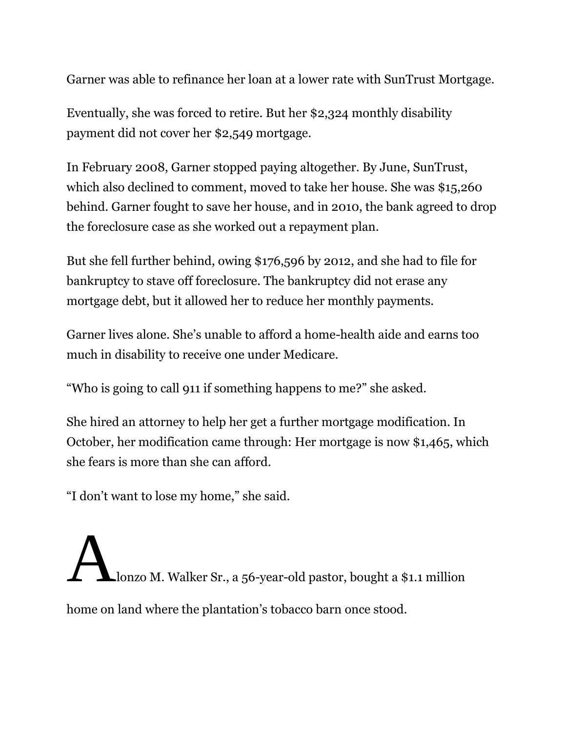Garner was able to refinance her loan at a lower rate with SunTrust Mortgage.

Eventually, she was forced to retire. But her \$2,324 monthly disability payment did not cover her \$2,549 mortgage.

In February 2008, Garner stopped paying altogether. By June, SunTrust, which also declined to comment, moved to take her house. She was \$15,260 behind. Garner fought to save her house, and in 2010, the bank agreed to drop the foreclosure case as she worked out a repayment plan.

But she fell further behind, owing \$176,596 by 2012, and she had to file for bankruptcy to stave off foreclosure. The bankruptcy did not erase any mortgage debt, but it allowed her to reduce her monthly payments.

Garner lives alone. She's unable to afford a home-health aide and earns too much in disability to receive one under Medicare.

"Who is going to call 911 if something happens to me?" she asked.

She hired an attorney to help her get a further mortgage modification. In October, her modification came through: Her mortgage is now \$1,465, which she fears is more than she can afford.

"I don't want to lose my home," she said.

Alonzo M. Walker Sr., a 56-year-old pastor, bought a \$1.1 million home on land where the plantation's tobacco barn once stood.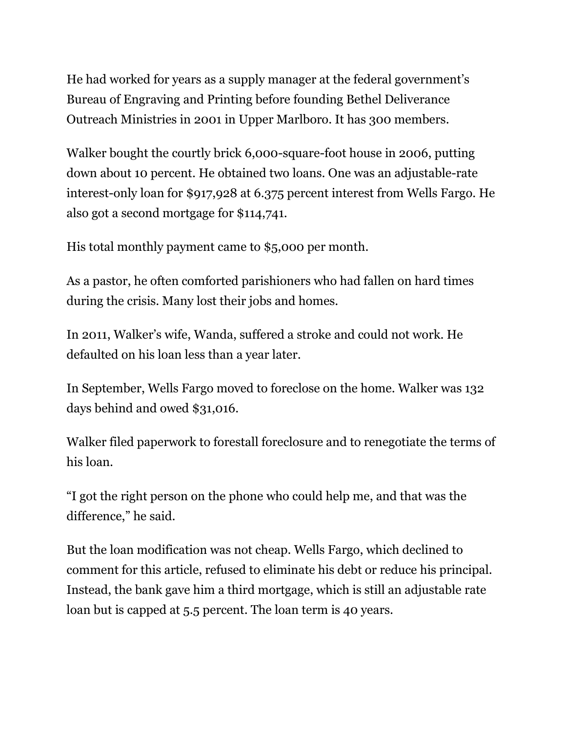He had worked for years as a supply manager at the federal government's Bureau of Engraving and Printing before founding Bethel Deliverance Outreach Ministries in 2001 in Upper Marlboro. It has 300 members.

Walker bought the courtly brick 6,000-square-foot house in 2006, putting down about 10 percent. He obtained two loans. One was an adjustable-rate interest-only loan for \$917,928 at 6.375 percent interest from Wells Fargo. He also got a second mortgage for \$114,741.

His total monthly payment came to \$5,000 per month.

As a pastor, he often comforted parishioners who had fallen on hard times during the crisis. Many lost their jobs and homes.

In 2011, Walker's wife, Wanda, suffered a stroke and could not work. He defaulted on his loan less than a year later.

In September, Wells Fargo moved to foreclose on the home. Walker was 132 days behind and owed \$31,016.

Walker filed paperwork to forestall foreclosure and to renegotiate the terms of his loan.

"I got the right person on the phone who could help me, and that was the difference," he said.

But the loan modification was not cheap. Wells Fargo, which declined to comment for this article, refused to eliminate his debt or reduce his principal. Instead, the bank gave him a third mortgage, which is still an adjustable rate loan but is capped at 5.5 percent. The loan term is 40 years.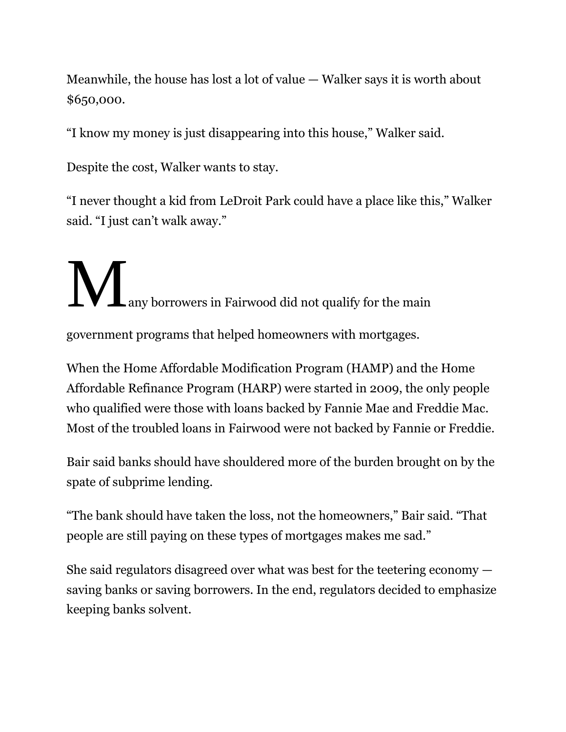Meanwhile, the house has lost a lot of value — Walker says it is worth about \$650,000.

"I know my money is just disappearing into this house," Walker said.

Despite the cost, Walker wants to stay.

"I never thought a kid from LeDroit Park could have a place like this," Walker said. "I just can't walk away."

**Many borrowers in Fairwood did not qualify for the main** 

government programs that helped homeowners with mortgages.

When the Home Affordable Modification Program (HAMP) and the Home Affordable Refinance Program (HARP) were started in 2009, the only people who qualified were those with loans backed by Fannie Mae and Freddie Mac. Most of the troubled loans in Fairwood were not backed by Fannie or Freddie.

Bair said banks should have shouldered more of the burden brought on by the spate of subprime lending.

"The bank should have taken the loss, not the homeowners," Bair said. "That people are still paying on these types of mortgages makes me sad."

She said regulators disagreed over what was best for the teetering economy saving banks or saving borrowers. In the end, regulators decided to emphasize keeping banks solvent.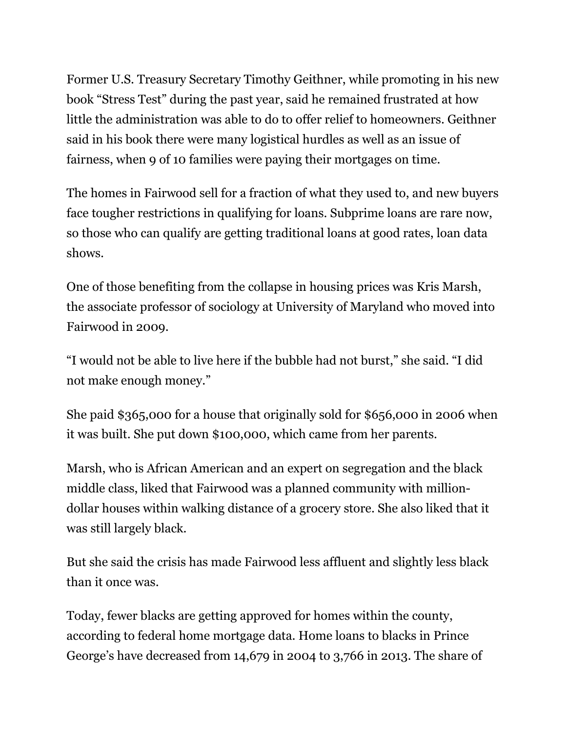Former U.S. Treasury Secretary Timothy Geithner, while promoting in his new book "Stress Test" during the past year, said he remained frustrated at how little the administration was able to do to offer relief to homeowners. Geithner said in his book there were many logistical hurdles as well as an issue of fairness, when 9 of 10 families were paying their mortgages on time.

The homes in Fairwood sell for a fraction of what they used to, and new buyers face tougher restrictions in qualifying for loans. Subprime loans are rare now, so those who can qualify are getting traditional loans at good rates, loan data shows.

One of those benefiting from the collapse in housing prices was Kris Marsh, the associate professor of sociology at University of Maryland who moved into Fairwood in 2009.

"I would not be able to live here if the bubble had not burst," she said. "I did not make enough money."

She paid \$365,000 for a house that originally sold for \$656,000 in 2006 when it was built. She put down \$100,000, which came from her parents.

Marsh, who is African American and an expert on segregation and the black middle class, liked that Fairwood was a planned community with milliondollar houses within walking distance of a grocery store. She also liked that it was still largely black.

But she said the crisis has made Fairwood less affluent and slightly less black than it once was.

Today, fewer blacks are getting approved for homes within the county, according to federal home mortgage data. Home loans to blacks in Prince George's have decreased from 14,679 in 2004 to 3,766 in 2013. The share of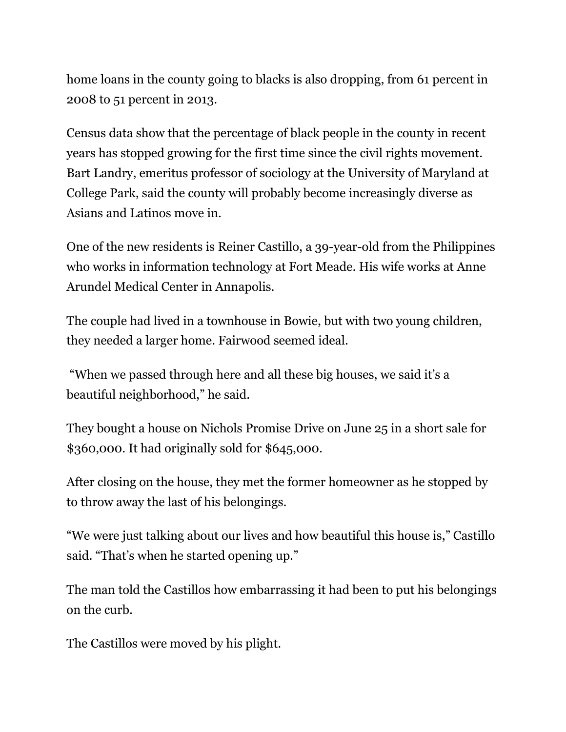home loans in the county going to blacks is also dropping, from 61 percent in 2008 to 51 percent in 2013.

Census data show that the percentage of black people in the county in recent years has stopped growing for the first time since the civil rights movement. Bart Landry, emeritus professor of sociology at the University of Maryland at College Park, said the county will probably become increasingly diverse as Asians and Latinos move in.

One of the new residents is Reiner Castillo, a 39-year-old from the Philippines who works in information technology at Fort Meade. His wife works at Anne Arundel Medical Center in Annapolis.

The couple had lived in a townhouse in Bowie, but with two young children, they needed a larger home. Fairwood seemed ideal.

"When we passed through here and all these big houses, we said it's a beautiful neighborhood," he said.

They bought a house on Nichols Promise Drive on June 25 in a short sale for \$360,000. It had originally sold for \$645,000.

After closing on the house, they met the former homeowner as he stopped by to throw away the last of his belongings.

"We were just talking about our lives and how beautiful this house is," Castillo said. "That's when he started opening up."

The man told the Castillos how embarrassing it had been to put his belongings on the curb.

The Castillos were moved by his plight.